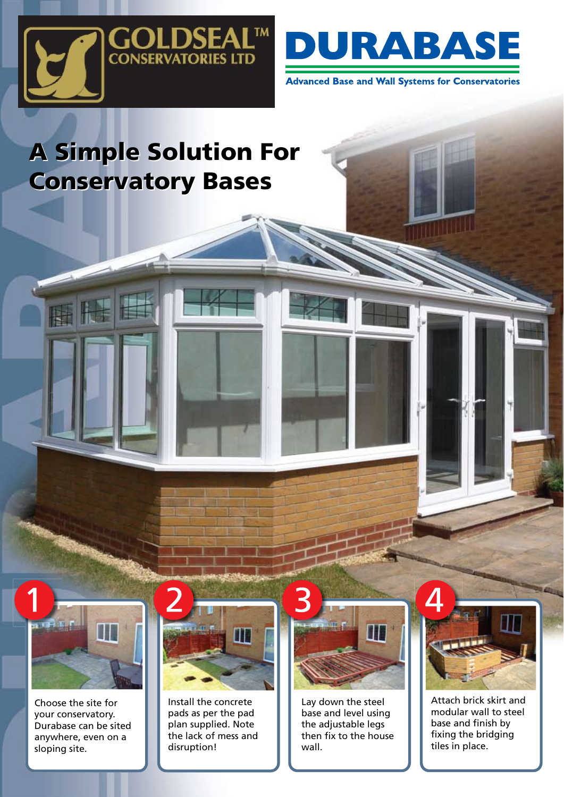



**Advanced Base and Wall Systems for Conservatories** 

## A Simple Solution For A Simple Solution For Conservatory Bases Conservatory Bases



Choose the site for your conservatory. Durabase can be sited anywhere, even on a sloping site.



Install the concrete pads as per the pad plan supplied. Note the lack of mess and disruption!



Lay down the steel base and level using the adjustable legs then fix to the house wall.



Attach brick skirt and modular wall to steel base and finish by fixing the bridging tiles in place.